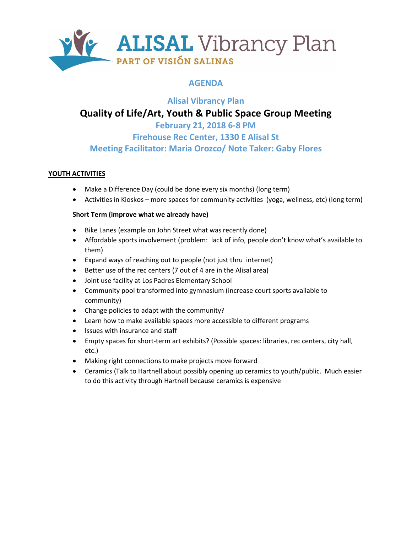

## **AGENDA**

## **Alisal Vibrancy Plan Quality of Life/Art, Youth & Public Space Group Meeting February 21, 2018 6-8 PM**

**Firehouse Rec Center, 1330 E Alisal St Meeting Facilitator: Maria Orozco/ Note Taker: Gaby Flores**

### **YOUTH ACTIVITIES**

- Make a Difference Day (could be done every six months) (long term)
- Activities in Kioskos more spaces for community activities (yoga, wellness, etc) (long term)

### **Short Term (improve what we already have)**

- Bike Lanes (example on John Street what was recently done)
- Affordable sports involvement (problem: lack of info, people don't know what's available to them)
- Expand ways of reaching out to people (not just thru internet)
- Better use of the rec centers (7 out of 4 are in the Alisal area)
- Joint use facility at Los Padres Elementary School
- Community pool transformed into gymnasium (increase court sports available to community)
- Change policies to adapt with the community?
- Learn how to make available spaces more accessible to different programs
- Issues with insurance and staff
- Empty spaces for short-term art exhibits? (Possible spaces: libraries, rec centers, city hall, etc.)
- Making right connections to make projects move forward
- Ceramics (Talk to Hartnell about possibly opening up ceramics to youth/public. Much easier to do this activity through Hartnell because ceramics is expensive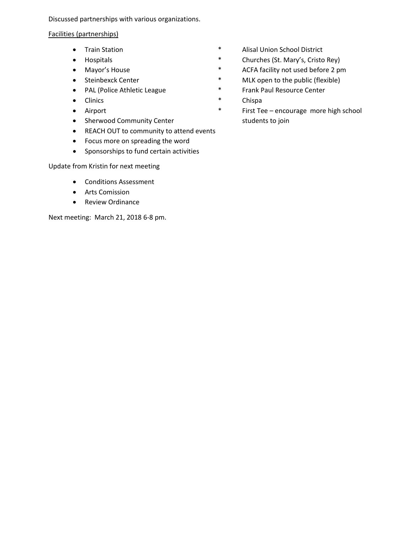Discussed partnerships with various organizations.

### Facilities (partnerships)

- 
- 
- 
- 
- 
- 
- 
- Sherwood Community Center students to join
- REACH OUT to community to attend events
- Focus more on spreading the word
- Sponsorships to fund certain activities

Update from Kristin for next meeting

- Conditions Assessment
- Arts Comission
- Review Ordinance

Next meeting: March 21, 2018 6-8 pm.

- Train Station **\*** Alisal Union School District
- Hospitals \* Churches (St. Mary's, Cristo Rey)
- Mayor's House **\*** ACFA facility not used before 2 pm
- Steinbexck Center \* MLK open to the public (flexible)
- PAL (Police Athletic League  $\longrightarrow$  Frank Paul Resource Center
- Clinics \* Chispa
- Airport **\*** First Tee encourage more high school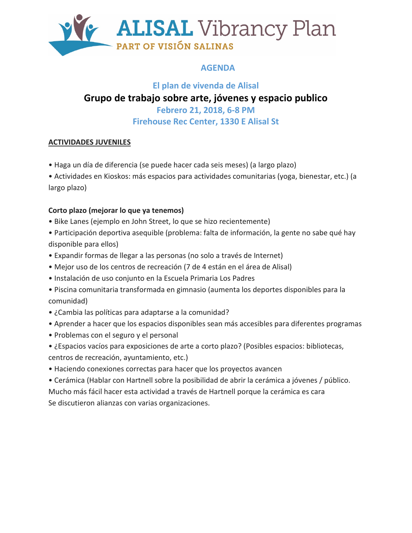

## **AGENDA**

## **El plan de vivenda de Alisal Grupo de trabajo sobre arte, jóvenes y espacio publico**

**Febrero 21, 2018, 6-8 PM Firehouse Rec Center, 1330 E Alisal St**

## **ACTIVIDADES JUVENILES**

• Haga un día de diferencia (se puede hacer cada seis meses) (a largo plazo)

• Actividades en Kioskos: más espacios para actividades comunitarias (yoga, bienestar, etc.) (a largo plazo)

## **Corto plazo (mejorar lo que ya tenemos)**

- Bike Lanes (ejemplo en John Street, lo que se hizo recientemente)
- Participación deportiva asequible (problema: falta de información, la gente no sabe qué hay disponible para ellos)
- Expandir formas de llegar a las personas (no solo a través de Internet)
- Mejor uso de los centros de recreación (7 de 4 están en el área de Alisal)
- Instalación de uso conjunto en la Escuela Primaria Los Padres
- Piscina comunitaria transformada en gimnasio (aumenta los deportes disponibles para la comunidad)
- ¿Cambia las políticas para adaptarse a la comunidad?
- Aprender a hacer que los espacios disponibles sean más accesibles para diferentes programas
- Problemas con el seguro y el personal
- ¿Espacios vacíos para exposiciones de arte a corto plazo? (Posibles espacios: bibliotecas, centros de recreación, ayuntamiento, etc.)
- Haciendo conexiones correctas para hacer que los proyectos avancen

• Cerámica (Hablar con Hartnell sobre la posibilidad de abrir la cerámica a jóvenes / público. Mucho más fácil hacer esta actividad a través de Hartnell porque la cerámica es cara Se discutieron alianzas con varias organizaciones.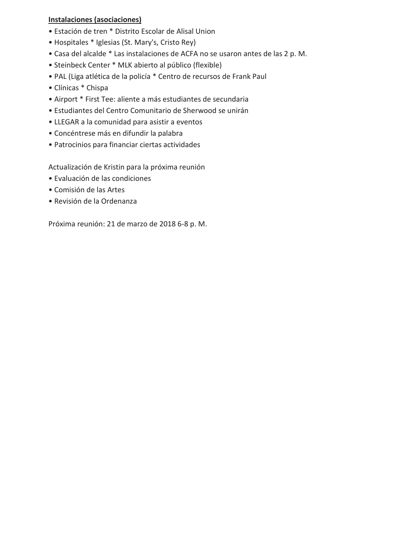### **Instalaciones (asociaciones)**

- Estación de tren \* Distrito Escolar de Alisal Union
- Hospitales \* Iglesias (St. Mary's, Cristo Rey)
- Casa del alcalde \* Las instalaciones de ACFA no se usaron antes de las 2 p. M.
- Steinbeck Center \* MLK abierto al público (flexible)
- PAL (Liga atlética de la policía \* Centro de recursos de Frank Paul
- Clínicas \* Chispa
- Airport \* First Tee: aliente a más estudiantes de secundaria
- Estudiantes del Centro Comunitario de Sherwood se unirán
- LLEGAR a la comunidad para asistir a eventos
- Concéntrese más en difundir la palabra
- Patrocinios para financiar ciertas actividades

Actualización de Kristin para la próxima reunión

- Evaluación de las condiciones
- Comisión de las Artes
- Revisión de la Ordenanza

Próxima reunión: 21 de marzo de 2018 6-8 p. M.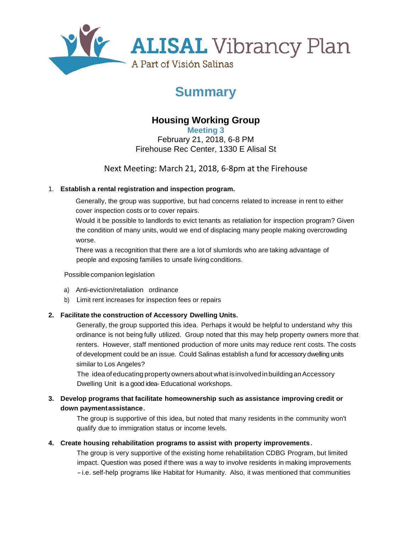

# **Summary**

## **Housing Working Group**

**Meeting 3**  February 21, 2018, 6-8 PM Firehouse Rec Center, 1330 E Alisal St

Next Meeting: March 21, 2018, 6-8pm at the Firehouse

### 1. **Establish a rental registration and inspection program.**

Generally, the group was supportive, but had concerns related to increase in rent to either cover inspection costs or to cover repairs.

Would it be possible to landlords to evict tenants as retaliation for inspection program? Given the condition of many units, would we end of displacing many people making overcrowding worse.

There was a recognition that there are a lot of slumlords who are taking advantage of people and exposing families to unsafe living conditions.

#### Possible companion legislation

- a) Anti-eviction/retaliation ordinance
- b) Limit rent increases for inspection fees or repairs

### **2. Facilitate the construction of Accessory Dwelling Units.**

Generally, the group supported this idea. Perhaps it would be helpful to understand why this ordinance is not being fully utilized. Group noted that this may help property owners more that renters. However, staff mentioned production of more units may reduce rent costs. The costs of development could be an issue. Could Salinas establish a fund for accessory dwelling units similar to Los Angeles?

The idea ofeducating propertyowners about what isinvolvedinbuildinganAccessory Dwelling Unit is a good idea- Educational workshops.

### **3. Develop programs that facilitate homeownership such as assistance improving credit or down paymentassistance.**

The group is supportive of this idea, but noted that many residents in the community won't qualify due to immigration status or income levels.

### **4. Create housing rehabilitation programs to assist with property improvements.**

The group is very supportive of the existing home rehabilitation CDBG Program, but limited impact. Question was posed if there was a way to involve residents in making improvements -i.e. self-help programs like Habitat for Humanity. Also, it was mentioned that communities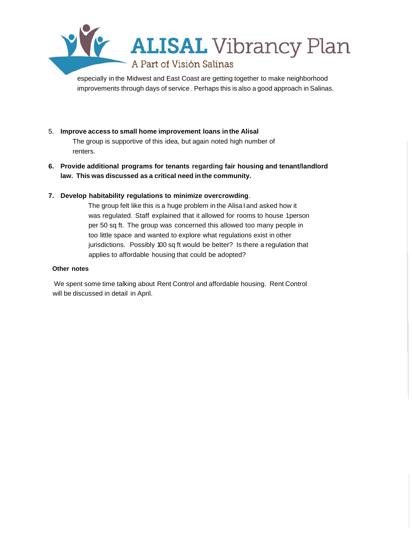

especially in the Midwest and East Coast are getting together to make neighborhood improvements through days of service. Perhaps this is also a good approach in Salinas.

### 5. **Improve access to small home improvement loans inthe Alisal**

The group is supportive of this idea, but again noted high number of renters.

**6. Provide additional programs for tenants regarding fair housing and tenant/landlord law. This was discussed as a critical need inthe community.**

#### **7. Develop habitability regulations to minimize overcrowding**.

The group felt like this is a huge problem in the Alisa I and asked how it was regulated. Staff explained that it allowed for rooms to house 1person per 50 sq ft. The group was concerned this allowed too many people in too little space and wanted to explore what regulations exist in other jurisdictions. Possibly 100 sq ft would be better? Is there a regulation that applies to affordable housing that could be adopted?

#### **Other notes**

We spent some time talking about Rent Control and affordable housing. Rent Control will be discussed in detail in April.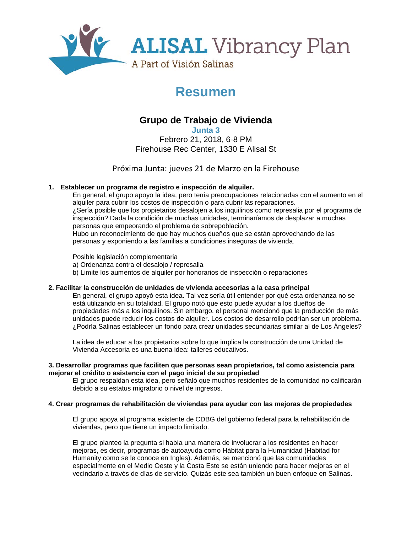

# **Resumen**

## **Grupo de Trabajo de Vivienda**

**Junta 3** Febrero 21, 2018, 6-8 PM Firehouse Rec Center, 1330 E Alisal St

Próxima Junta: jueves 21 de Marzo en la Firehouse

### **1. Establecer un programa de registro e inspección de alquiler.**

En general, el grupo apoyo la idea, pero tenía preocupaciones relacionadas con el aumento en el alquiler para cubrir los costos de inspección o para cubrir las reparaciones. ¿Sería posible que los propietarios desalojen a los inquilinos como represalia por el programa de inspección? Dada la condición de muchas unidades, terminaríamos de desplazar a muchas personas que empeorando el problema de sobrepoblación. Hubo un reconocimiento de que hay muchos dueños que se están aprovechando de las

personas y exponiendo a las familias a condiciones inseguras de vivienda.

Posible legislación complementaria

a) Ordenanza contra el desalojo / represalia

b) Limite los aumentos de alquiler por honorarios de inspección o reparaciones

#### **2. Facilitar la construcción de unidades de vivienda accesorias a la casa principal**

En general, el grupo apoyó esta idea. Tal vez sería útil entender por qué esta ordenanza no se está utilizando en su totalidad. El grupo notó que esto puede ayudar a los dueños de propiedades más a los inquilinos. Sin embargo, el personal mencionó que la producción de más unidades puede reducir los costos de alquiler. Los costos de desarrollo podrían ser un problema. ¿Podría Salinas establecer un fondo para crear unidades secundarias similar al de Los Ángeles?

La idea de educar a los propietarios sobre lo que implica la construcción de una Unidad de Vivienda Accesoria es una buena idea: talleres educativos.

#### **3. Desarrollar programas que faciliten que personas sean propietarios, tal como asistencia para mejorar el crédito o asistencia con el pago inicial de su propiedad**

El grupo respaldan esta idea, pero señaló que muchos residentes de la comunidad no calificarán debido a su estatus migratorio o nivel de ingresos.

#### **4. Crear programas de rehabilitación de viviendas para ayudar con las mejoras de propiedades**

El grupo apoya al programa existente de CDBG del gobierno federal para la rehabilitación de viviendas, pero que tiene un impacto limitado.

El grupo planteo la pregunta si había una manera de involucrar a los residentes en hacer mejoras, es decir, programas de autoayuda como Hábitat para la Humanidad (Habitad for Humanity como se le conoce en Ingles). Además, se mencionó que las comunidades especialmente en el Medio Oeste y la Costa Este se están uniendo para hacer mejoras en el vecindario a través de días de servicio. Quizás este sea también un buen enfoque en Salinas.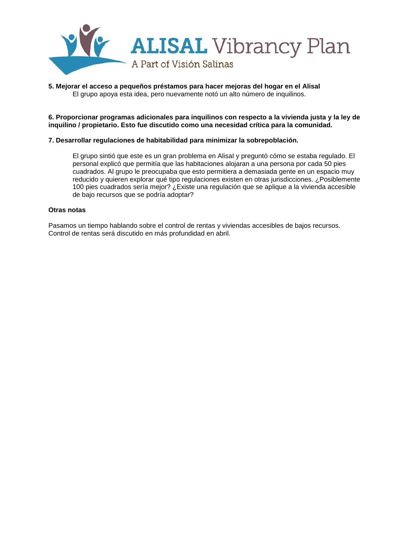

#### **5. Mejorar el acceso a pequeños préstamos para hacer mejoras del hogar en el Alisal** El grupo apoya esta idea, pero nuevamente notó un alto número de inquilinos.

**6. Proporcionar programas adicionales para inquilinos con respecto a la vivienda justa y la ley de inquilino / propietario. Esto fue discutido como una necesidad crítica para la comunidad.**

#### **7. Desarrollar regulaciones de habitabilidad para minimizar la sobrepoblación.**

El grupo sintió que este es un gran problema en AlisaI y preguntó cómo se estaba regulado. El personal explicó que permitía que las habitaciones alojaran a una persona por cada 50 pies cuadrados. Al grupo le preocupaba que esto permitiera a demasiada gente en un espacio muy reducido y quieren explorar qué tipo regulaciones existen en otras jurisdicciones. ¿Posiblemente 100 pies cuadrados sería mejor? ¿Existe una regulación que se aplique a la vivienda accesible de bajo recursos que se podría adoptar?

#### **Otras notas**

Pasamos un tiempo hablando sobre el control de rentas y viviendas accesibles de bajos recursos. Control de rentas será discutido en más profundidad en abril.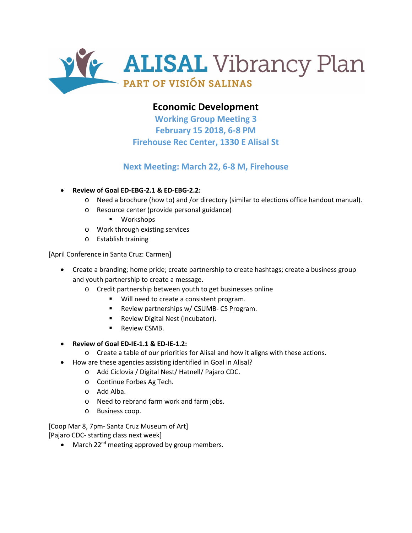

## **Economic Development**

**Working Group Meeting 3 February 15 2018, 6-8 PM Firehouse Rec Center, 1330 E Alisal St**

## **Next Meeting: March 22, 6-8 M, Firehouse**

- **Review of Goal ED-EBG-2.1 & ED-EBG-2.2:**
	- o Need a brochure (how to) and /or directory (similar to elections office handout manual).
	- o Resource center (provide personal guidance)
		- **•** Workshops
	- o Work through existing services
	- o Establish training

[April Conference in Santa Cruz: Carmen]

- Create a branding; home pride; create partnership to create hashtags; create a business group and youth partnership to create a message.
	- o Credit partnership between youth to get businesses online
		- **Will need to create a consistent program.**
		- Review partnerships w/ CSUMB- CS Program.
		- Review Digital Nest (incubator).
		- Review CSMB.
- **Review of Goal ED-IE-1.1 & ED-IE-1.2:** 
	- o Create a table of our priorities for Alisal and how it aligns with these actions.
- How are these agencies assisting identified in Goal in Alisal?
	- o Add Ciclovia / Digital Nest/ Hatnell/ Pajaro CDC.
	- o Continue Forbes Ag Tech.
	- o Add Alba.
	- o Need to rebrand farm work and farm jobs.
	- o Business coop.

[Coop Mar 8, 7pm- Santa Cruz Museum of Art] [Pajaro CDC- starting class next week]

• March 22<sup>nd</sup> meeting approved by group members.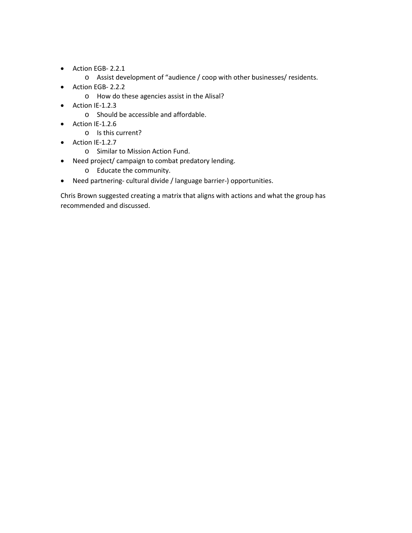- Action EGB- 2.2.1
	- o Assist development of "audience / coop with other businesses/ residents.
- Action EGB- 2.2.2
	- o How do these agencies assist in the Alisal?
- Action IE-1.2.3
	- o Should be accessible and affordable.
- Action IE-1.2.6
	- o Is this current?
- Action IE-1.2.7
	- o Similar to Mission Action Fund.
- Need project/ campaign to combat predatory lending.
	- o Educate the community.
- Need partnering- cultural divide / language barrier-) opportunities.

Chris Brown suggested creating a matrix that aligns with actions and what the group has recommended and discussed.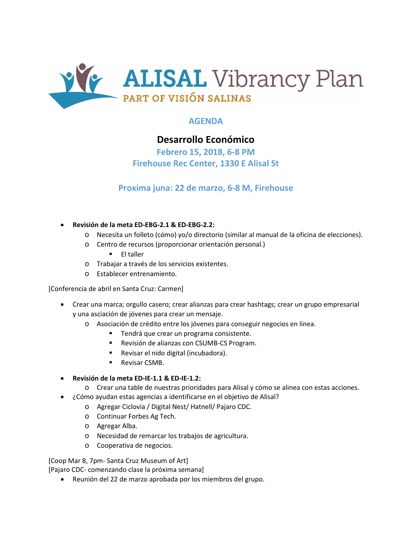

## **AGENDA**

## **Desarrollo Económico**

**Febrero 15, 2018, 6-8 PM Firehouse Rec Center, 1330 E Alisal St**

## **Proxima juna: 22 de marzo, 6-8 M, Firehouse**

- **Revisión de la meta ED-EBG-2.1 & ED-EBG-2.2:**
	- o Necesita un folleto (cómo) yo/o directorio (similar al manual de la oficina de elecciones).
	- o Centro de recursos (proporcionar orientación personal.)  $\blacksquare$  El taller
	- o Trabajar a través de los servicios existentes.
	- o Establecer entrenamiento.

[Conferencia de abril en Santa Cruz: Carmen]

- Crear una marca; orgullo casero; crear alianzas para crear hashtags; crear un grupo empresarial y una asciación de jóvenes para crear un mensaje.
	- o Asociación de crédito entre los jóvenes para conseguir negocios en línea.
		- Tendrá que crear un programa consistente.
		- **Revisión de alianzas con CSUMB-CS Program.**
		- Revisar el nido digital (incubadora).
		- **Revisar CSMB.**

#### • **Revisión de la meta ED-IE-1.1 & ED-IE-1.2:**

- o Crear una table de nuestras prioridades para Alisal y cómo se alinea con estas acciones.
- ¿Cómo ayudan estas agencias a identificarse en el objetivo de Alisal?
	- o Agregar Ciclovia / Digital Nest/ Hatnell/ Pajaro CDC.
	- o Continuar Forbes Ag Tech.
	- o Agregar Alba.
	- o Necesidad de remarcar los trabajos de agricultura.
	- o Cooperativa de negocios.

[Coop Mar 8, 7pm- Santa Cruz Museum of Art]

[Pajaro CDC- comenzando clase la próxima semana]

• Reunión del 22 de marzo aprobada por los miembros del grupo.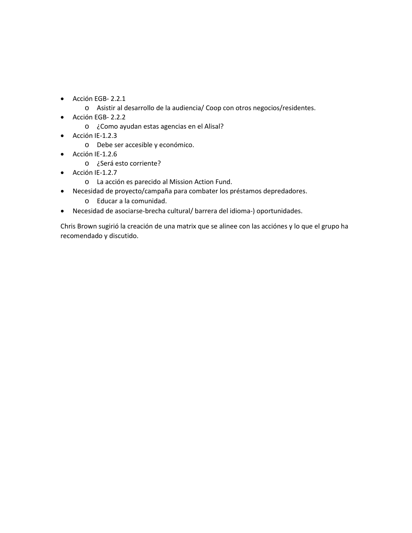- Acción EGB- 2.2.1
	- o Asistir al desarrollo de la audiencia/ Coop con otros negocios/residentes.
- Acción EGB- 2.2.2
	- o ¿Como ayudan estas agencias en el Alisal?
- Acción IE-1.2.3
	- o Debe ser accesible y económico.
- Acción IE-1.2.6
	- o ¿Será esto corriente?
- Acción IE-1.2.7
	- o La acción es parecido al Mission Action Fund.
- Necesidad de proyecto/campaña para combater los préstamos depredadores.
	- o Educar a la comunidad.
- Necesidad de asociarse-brecha cultural/ barrera del idioma-) oportunidades.

Chris Brown sugirió la creación de una matrix que se alinee con las acciónes y lo que el grupo ha recomendado y discutido.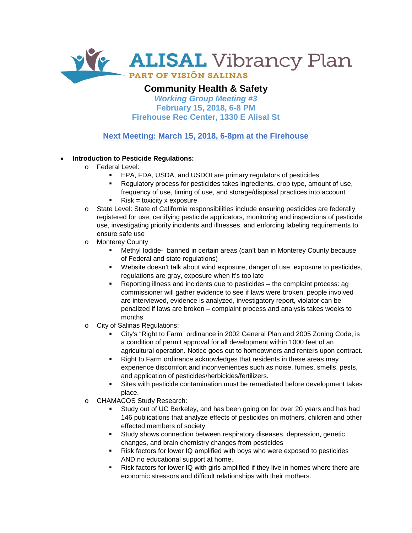

## **Community Health & Safety**

*Working Group Meeting #3* **February 15, 2018, 6-8 PM Firehouse Rec Center, 1330 E Alisal St**

**Next Meeting: March 15, 2018, 6-8pm at the Firehouse**

### • **Introduction to Pesticide Regulations:**

- o Federal Level:
	- EPA, FDA, USDA, and USDOI are primary regulators of pesticides
	- Regulatory process for pesticides takes ingredients, crop type, amount of use, frequency of use, timing of use, and storage/disposal practices into account
	- Risk = toxicity x exposure
- o State Level: State of California responsibilities include ensuring pesticides are federally registered for use, certifying pesticide applicators, monitoring and inspections of pesticide use, investigating priority incidents and illnesses, and enforcing labeling requirements to ensure safe use
- o Monterey County
	- Methyl Iodide- banned in certain areas (can't ban in Monterey County because of Federal and state regulations)
	- Website doesn't talk about wind exposure, danger of use, exposure to pesticides, regulations are gray, exposure when it's too late
	- Reporting illness and incidents due to pesticides the complaint process: ag commissioner will gather evidence to see if laws were broken, people involved are interviewed, evidence is analyzed, investigatory report, violator can be penalized if laws are broken – complaint process and analysis takes weeks to months
- o City of Salinas Regulations:
	- City's "Right to Farm" ordinance in 2002 General Plan and 2005 Zoning Code, is a condition of permit approval for all development within 1000 feet of an agricultural operation. Notice goes out to homeowners and renters upon contract.
	- Right to Farm ordinance acknowledges that residents in these areas may experience discomfort and inconveniences such as noise, fumes, smells, pests, and application of pesticides/herbicides/fertilizers.
	- Sites with pesticide contamination must be remediated before development takes place.
- o CHAMACOS Study Research:
	- Study out of UC Berkeley, and has been going on for over 20 years and has had 146 publications that analyze effects of pesticides on mothers, children and other effected members of society
	- Study shows connection between respiratory diseases, depression, genetic changes, and brain chemistry changes from pesticides
	- Risk factors for lower IQ amplified with boys who were exposed to pesticides AND no educational support at home.
	- Risk factors for lower IQ with girls amplified if they live in homes where there are economic stressors and difficult relationships with their mothers.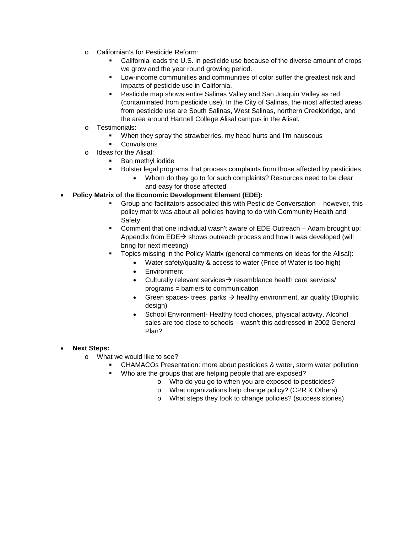- o Californian's for Pesticide Reform:
	- California leads the U.S. in pesticide use because of the diverse amount of crops we grow and the year round growing period.
	- Low-income communities and communities of color suffer the greatest risk and impacts of pesticide use in California.
	- Pesticide map shows entire Salinas Valley and San Joaquin Valley as red (contaminated from pesticide use). In the City of Salinas, the most affected areas from pesticide use are South Salinas, West Salinas, northern Creekbridge, and the area around Hartnell College Alisal campus in the Alisal.
- o Testimonials:
	- When they spray the strawberries, my head hurts and I'm nauseous
	- **Convulsions**
- o Ideas for the Alisal:
	- **Ban methyl iodide**
	- Bolster legal programs that process complaints from those affected by pesticides
		- Whom do they go to for such complaints? Resources need to be clear and easy for those affected

### • **Policy Matrix of the Economic Development Element (EDE):**

- Group and facilitators associated this with Pesticide Conversation however, this policy matrix was about all policies having to do with Community Health and **Safety**
- Comment that one individual wasn't aware of EDE Outreach Adam brought up: Appendix from  $EDE \rightarrow$  shows outreach process and how it was developed (will bring for next meeting)
- Topics missing in the Policy Matrix (general comments on ideas for the Alisal):
	- Water safety/quality & access to water (Price of Water is too high)
	- Environment
	- Culturally relevant services $\rightarrow$  resemblance health care services/ programs = barriers to communication
	- Green spaces- trees, parks  $\rightarrow$  healthy environment, air quality (Biophilic design)
	- School Environment- Healthy food choices, physical activity, Alcohol sales are too close to schools – wasn't this addressed in 2002 General Plan?

#### • **Next Steps:**

- o What we would like to see?
	- CHAMACOs Presentation: more about pesticides & water, storm water pollution
		- Who are the groups that are helping people that are exposed?
			- o Who do you go to when you are exposed to pesticides?
			- o What organizations help change policy? (CPR & Others)
			- o What steps they took to change policies? (success stories)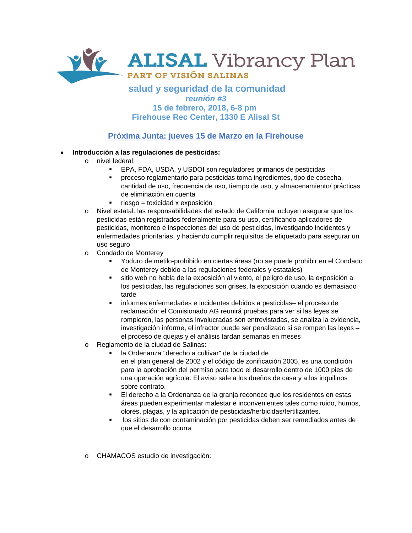

### **salud y seguridad de la comunidad** *reunión #3* **15 de febrero, 2018, 6-8 pm Firehouse Rec Center, 1330 E Alisal St**

## **Próxima Junta: jueves 15 de Marzo en la Firehouse**

#### • **Introducción a las regulaciones de pesticidas:**

- o nivel federal:
	- EPA, FDA, USDA, y USDOI son reguladores primarios de pesticidas
	- proceso reglamentario para pesticidas toma ingredientes, tipo de cosecha, cantidad de uso, frecuencia de uso, tiempo de uso, y almacenamiento/ prácticas de eliminación en cuenta
	- $\blacksquare$  riesgo = toxicidad x exposición
- o Nivel estatal: las responsabilidades del estado de California incluyen asegurar que los pesticidas están registrados federalmente para su uso, certificando aplicadores de pesticidas, monitoreo e inspecciones del uso de pesticidas, investigando incidentes y enfermedades prioritarias, y haciendo cumplir requisitos de etiquetado para asegurar un uso seguro
- o Condado de Monterey
	- Yoduro de metilo-prohibido en ciertas áreas (no se puede prohibir en el Condado de Monterey debido a las regulaciones federales y estatales)
	- sitio web no habla de la exposición al viento, el peligro de uso, la exposición a los pesticidas, las regulaciones son grises, la exposición cuando es demasiado tarde
	- informes enfermedades e incidentes debidos a pesticidas– el proceso de reclamación: el Comisionado AG reunirá pruebas para ver si las leyes se rompieron, las personas involucradas son entrevistadas, se analiza la evidencia, investigación informe, el infractor puede ser penalizado si se rompen las leyes – el proceso de quejas y el análisis tardan semanas en meses
- o Reglamento de la ciudad de Salinas:
	- la Ordenanza "derecho a cultivar" de la ciudad de en el plan general de 2002 y el código de zonificación 2005, es una condición para la aprobación del permiso para todo el desarrollo dentro de 1000 pies de una operación agrícola. El aviso sale a los dueños de casa y a los inquilinos sobre contrato.
	- El derecho a la Ordenanza de la granja reconoce que los residentes en estas áreas pueden experimentar malestar e inconvenientes tales como ruido, humos, olores, plagas, y la aplicación de pesticidas/herbicidas/fertilizantes.
	- los sitios de con contaminación por pesticidas deben ser remediados antes de que el desarrollo ocurra
- o CHAMACOS estudio de investigación: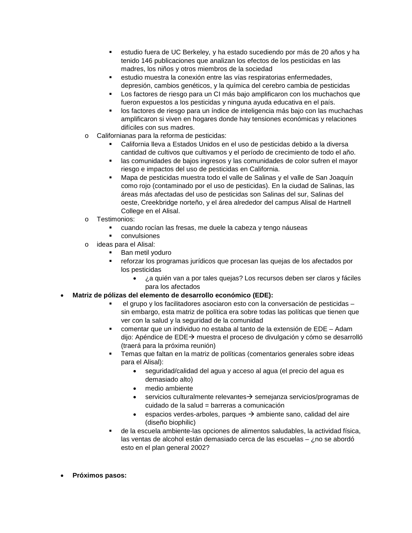- estudio fuera de UC Berkeley, y ha estado sucediendo por más de 20 años y ha tenido 146 publicaciones que analizan los efectos de los pesticidas en las madres, los niños y otros miembros de la sociedad
- estudio muestra la conexión entre las vías respiratorias enfermedades, depresión, cambios genéticos, y la química del cerebro cambia de pesticidas
- Los factores de riesgo para un CI más bajo amplificaron con los muchachos que fueron expuestos a los pesticidas y ninguna ayuda educativa en el país.
- los factores de riesgo para un índice de inteligencia más bajo con las muchachas amplificaron si viven en hogares donde hay tensiones económicas y relaciones difíciles con sus madres.
- o Californianas para la reforma de pesticidas:
	- California lleva a Estados Unidos en el uso de pesticidas debido a la diversa cantidad de cultivos que cultivamos y el período de crecimiento de todo el año.
	- **las comunidades de bajos ingresos y las comunidades de color sufren el mayor** riesgo e impactos del uso de pesticidas en California.
	- Mapa de pesticidas muestra todo el valle de Salinas y el valle de San Joaquín como rojo (contaminado por el uso de pesticidas). En la ciudad de Salinas, las áreas más afectadas del uso de pesticidas son Salinas del sur, Salinas del oeste, Creekbridge norteño, y el área alrededor del campus Alisal de Hartnell College en el Alisal.
- o Testimonios:
	- cuando rocían las fresas, me duele la cabeza y tengo náuseas
	- convulsiones
- o ideas para el Alisal:
	- Ban metil yoduro
	- reforzar los programas jurídicos que procesan las quejas de los afectados por los pesticidas
		- ¿a quién van a por tales quejas? Los recursos deben ser claros y fáciles para los afectados
- **Matriz de pólizas del elemento de desarrollo económico (EDE):**
	- el grupo y los facilitadores asociaron esto con la conversación de pesticidas sin embargo, esta matriz de política era sobre todas las políticas que tienen que ver con la salud y la seguridad de la comunidad
	- comentar que un individuo no estaba al tanto de la extensión de EDE Adam dijo: Apéndice de EDE→ muestra el proceso de divulgación y cómo se desarrolló (traerá para la próxima reunión)
	- Temas que faltan en la matriz de políticas (comentarios generales sobre ideas para el Alisal):
		- seguridad/calidad del agua y acceso al agua (el precio del agua es demasiado alto)
		- medio ambiente
		- servicios culturalmente relevantes $\rightarrow$  semejanza servicios/programas de cuidado de la salud = barreras a comunicación
		- espacios verdes-arboles, parques  $\rightarrow$  ambiente sano, calidad del aire (diseño biophilic)
	- de la escuela ambiente-las opciones de alimentos saludables, la actividad física, las ventas de alcohol están demasiado cerca de las escuelas – ¿no se abordó esto en el plan general 2002?
- **Próximos pasos:**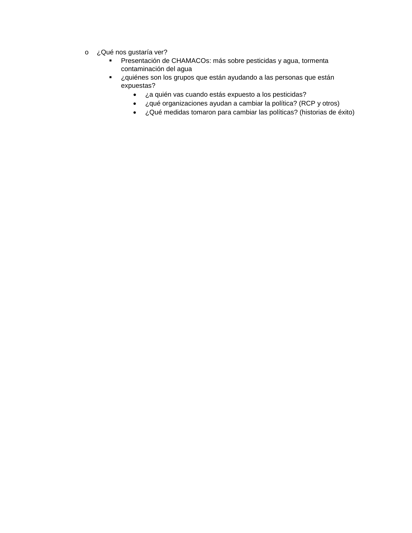- o ¿Qué nos gustaría ver?
	- Presentación de CHAMACOs: más sobre pesticidas y agua, tormenta contaminación del agua
	- ¿quiénes son los grupos que están ayudando a las personas que están expuestas?
		- ¿a quién vas cuando estás expuesto a los pesticidas?
		- ¿qué organizaciones ayudan a cambiar la política? (RCP y otros)
		- ¿Qué medidas tomaron para cambiar las políticas? (historias de éxito)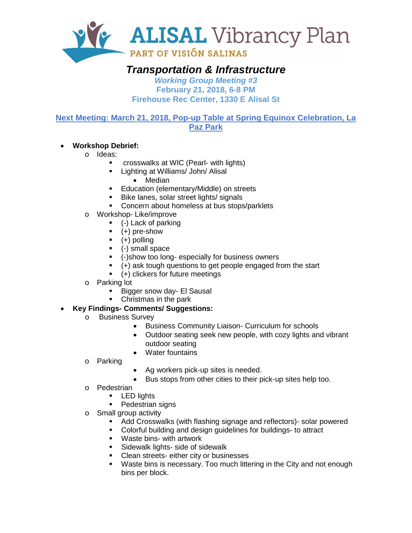

## *Transportation & Infrastructure*

*Working Group Meeting #3* **February 21, 2018, 6-8 PM Firehouse Rec Center, 1330 E Alisal St**

**Next Meeting: March 21, 2018, Pop-up Table at Spring Equinox Celebration, La Paz Park**

## • **Workshop Debrief:**

- o Ideas:
	- crosswalks at WIC (Pearl- with lights)
	- **Lighting at Williams/ John/ Alisal** 
		- Median
	- **Education (elementary/Middle) on streets**
	- Bike lanes, solar street lights/ signals
	- **Concern about homeless at bus stops/parklets**
- o Workshop- Like/improve
	- (-) Lack of parking
	- $(+)$  pre-show
	- $(+)$  polling
	- (-) small space
	- (-)show too long- especially for business owners
	- (+) ask tough questions to get people engaged from the start
	- (+) clickers for future meetings
- o Parking lot
	- Bigger snow day- El Sausal
	- Christmas in the park

## • **Key Findings- Comments/ Suggestions:**

- o Business Survey
	- Business Community Liaison- Curriculum for schools
	- Outdoor seating seek new people, with cozy lights and vibrant outdoor seating
	- Water fountains
- o Parking
- Ag workers pick-up sites is needed.
- Bus stops from other cities to their pick-up sites help too.
- o Pedestrian
	- **LED** lights
	- Pedestrian signs
- o Small group activity
	- Add Crosswalks (with flashing signage and reflectors)- solar powered
	- Colorful building and design guidelines for buildings- to attract
	- Waste bins- with artwork
	- **Sidewalk lights- side of sidewalk**
	- Clean streets- either city or businesses
	- Waste bins is necessary. Too much littering in the City and not enough bins per block.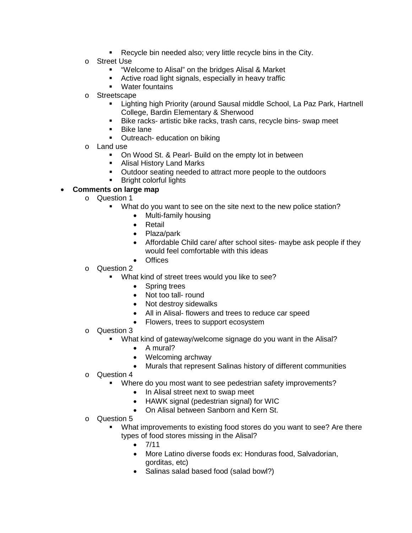- Recycle bin needed also; very little recycle bins in the City.
- o Street Use
	- "Welcome to Alisal" on the bridges Alisal & Market
	- Active road light signals, especially in heavy traffic
	- Water fountains
- o Streetscape
	- Lighting high Priority (around Sausal middle School, La Paz Park, Hartnell College, Bardin Elementary & Sherwood
	- Bike racks- artistic bike racks, trash cans, recycle bins- swap meet
	- Bike lane
	- Outreach- education on biking
- o Land use
	- On Wood St. & Pearl- Build on the empty lot in between
	- **Alisal History Land Marks**
	- Outdoor seating needed to attract more people to the outdoors
	- Bright colorful lights

### • **Comments on large map**

- o Question 1
	- **What do you want to see on the site next to the new police station?** 
		- Multi-family housing
		- Retail
		- Plaza/park
		- Affordable Child care/ after school sites- maybe ask people if they would feel comfortable with this ideas
		- Offices
- o Question 2
	- What kind of street trees would you like to see?
		- Spring trees
		- Not too tall- round
		- Not destroy sidewalks
		- All in Alisal- flowers and trees to reduce car speed
		- Flowers, trees to support ecosystem
- o Question 3
	- What kind of gateway/welcome signage do you want in the Alisal?
		- A mural?
		- Welcoming archway
		- Murals that represent Salinas history of different communities
- o Question 4
	- Where do you most want to see pedestrian safety improvements?
		- In Alisal street next to swap meet
		- HAWK signal (pedestrian signal) for WIC
		- On Alisal between Sanborn and Kern St.
- o Question 5
	- What improvements to existing food stores do you want to see? Are there types of food stores missing in the Alisal?
		- $7/11$
		- More Latino diverse foods ex: Honduras food, Salvadorian, gorditas, etc)
		- Salinas salad based food (salad bowl?)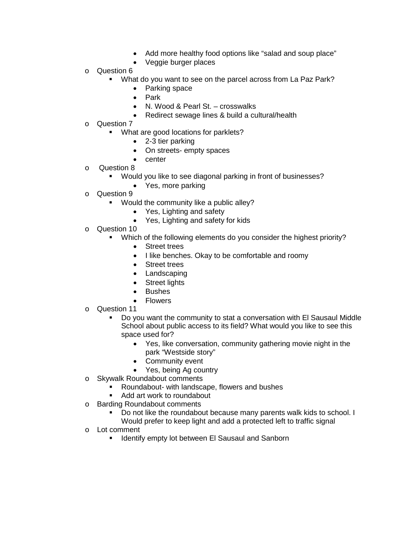- Add more healthy food options like "salad and soup place"
- Veggie burger places
- o Question 6
	- What do you want to see on the parcel across from La Paz Park?
		- Parking space
		- Park
		- N. Wood & Pearl St. crosswalks
		- Redirect sewage lines & build a cultural/health
- o Question 7
	- What are good locations for parklets?
		- 2-3 tier parking
		- On streets- empty spaces
		- center
- o Question 8<br>Mou
	- Would you like to see diagonal parking in front of businesses?
		- Yes, more parking
- o Question 9
	- Would the community like a public alley?
		- Yes, Lighting and safety
		- Yes, Lighting and safety for kids
- o Question 10
	- Which of the following elements do you consider the highest priority?
		- Street trees
		- I like benches. Okay to be comfortable and roomy
		- Street trees
		- Landscaping
		- **Street lights**
		- **Bushes**
		- **Flowers**
- o Question 11
	- Do you want the community to stat a conversation with El Sausaul Middle School about public access to its field? What would you like to see this space used for?
		- Yes, like conversation, community gathering movie night in the park "Westside story"
		- Community event
		- Yes, being Ag country
- o Skywalk Roundabout comments
	- Roundabout- with landscape, flowers and bushes
	- Add art work to roundabout
- o Barding Roundabout comments
	- Do not like the roundabout because many parents walk kids to school. I
	- Would prefer to keep light and add a protected left to traffic signal
- o Lot comment<br>Identif
	- Identify empty lot between El Sausaul and Sanborn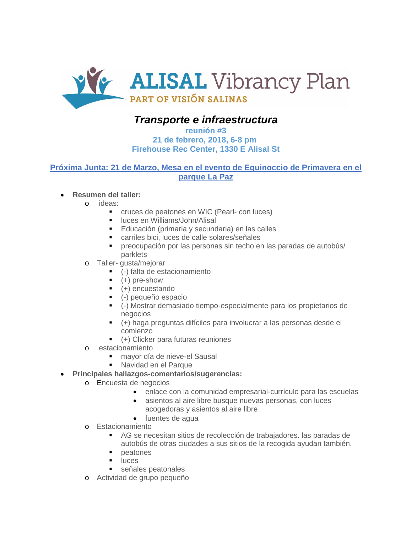

## *Transporte e infraestructura*

### **reunión #3 21 de febrero, 2018, 6-8 pm Firehouse Rec Center, 1330 E Alisal St**

### **Próxima Junta: 21 de Marzo, Mesa en el evento de Equinoccio de Primavera en el parque La Paz**

### • **Resumen del taller:**

- o ideas:
	- cruces de peatones en WIC (Pearl- con luces)
	- **I** luces en Williams/John/Alisal
	- Educación (primaria y secundaria) en las calles
	- carriles bici, luces de calle solares/señales
	- preocupación por las personas sin techo en las paradas de autobús/ parklets
- o Taller- gusta/mejorar
	- (-) falta de estacionamiento
	- $-$  (+) pre-show
	- (+) encuestando
	- (-) pequeño espacio
	- (-) Mostrar demasiado tiempo-especialmente para los propietarios de negocios
	- (+) haga preguntas difíciles para involucrar a las personas desde el comienzo
	- (+) Clicker para futuras reuniones
- o estacionamiento
	- mayor día de nieve-el Sausal
	- Navidad en el Parque

### • **Principales hallazgos-comentarios/sugerencias:**

- o Encuesta de negocios
	- enlace con la comunidad empresarial-currículo para las escuelas
	- asientos al aire libre busque nuevas personas, con luces acogedoras y asientos al aire libre
	- fuentes de agua
- o Estacionamiento
	- AG se necesitan sitios de recolección de trabajadores. las paradas de autobús de otras ciudades a sus sitios de la recogida ayudan también.
	- peatones
	- $\blacksquare$ luces
	- señales peatonales
- o Actividad de grupo pequeño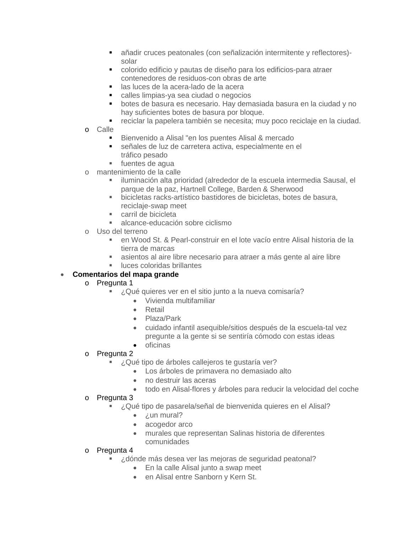- añadir cruces peatonales (con señalización intermitente y reflectores) solar
- colorido edificio y pautas de diseño para los edificios-para atraer contenedores de residuos-con obras de arte
- las luces de la acera-lado de la acera
- calles limpias-ya sea ciudad o negocios
- botes de basura es necesario. Hay demasiada basura en la ciudad y no hay suficientes botes de basura por bloque.
- reciclar la papelera también se necesita; muy poco reciclaje en la ciudad.
- o Calle
	- Bienvenido a Alisal "en los puentes Alisal & mercado
	- señales de luz de carretera activa, especialmente en el tráfico pesado
	- fuentes de agua
- o mantenimiento de la calle
	- iluminación alta prioridad (alrededor de la escuela intermedia Sausal, el parque de la paz, Hartnell College, Barden & Sherwood
	- bicicletas racks-artístico bastidores de bicicletas, botes de basura, reciclaje-swap meet
	- carril de bicicleta
	- alcance-educación sobre ciclismo
- o Uso del terreno
	- en Wood St. & Pearl-construir en el lote vacío entre Alisal historia de la tierra de marcas
	- asientos al aire libre necesario para atraer a más gente al aire libre
	- luces coloridas brillantes

### • **Comentarios del mapa grande**

- o Pregunta 1
	- ¿Qué quieres ver en el sitio junto a la nueva comisaría?
		- Vivienda multifamiliar
		- Retail
		- Plaza/Park
		- cuidado infantil asequible/sitios después de la escuela-tal vez pregunte a la gente si se sentiría cómodo con estas ideas
		- oficinas
- o Pregunta 2
	- ¿Qué tipo de árboles callejeros te gustaría ver?
		- Los árboles de primavera no demasiado alto
		- no destruir las aceras
		- todo en Alisal-flores y árboles para reducir la velocidad del coche
- o Pregunta 3
	- ¿Qué tipo de pasarela/señal de bienvenida quieres en el Alisal?
		- $\bullet$  *i*.un mural?
		- acogedor arco
		- murales que representan Salinas historia de diferentes comunidades
- o Pregunta 4
	- ¿dónde más desea ver las mejoras de seguridad peatonal?
		- En la calle Alisal junto a swap meet
		- en Alisal entre Sanborn y Kern St.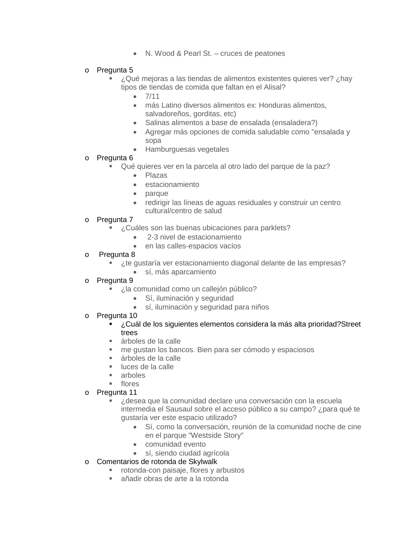- N. Wood & Pearl St. cruces de peatones
- o Pregunta 5
	- ¿Qué mejoras a las tiendas de alimentos existentes quieres ver? ¿hay tipos de tiendas de comida que faltan en el Alisal?
		- $7/11$
		- más Latino diversos alimentos ex: Honduras alimentos, salvadoreños, gorditas, etc)
		- Salinas alimentos a base de ensalada (ensaladera?)
		- Agregar más opciones de comida saludable como "ensalada y sopa
		- Hamburguesas vegetales
- o **Pregunta 6**<br>oué
	- Qué quieres ver en la parcela al otro lado del parque de la paz?
		- Plazas
		- estacionamiento
		- parque
		- redirigir las líneas de aguas residuales y construir un centro cultural/centro de salud
- o Pregunta 7
	- ¿Cuáles son las buenas ubicaciones para parklets?
		- 2-3 nivel de estacionamiento
		- en las calles-espacios vacíos
- o Pregunta 8
	- ¿te gustaría ver estacionamiento diagonal delante de las empresas?
		- sí, más aparcamiento
- o Pregunta 9
	- ¿la comunidad como un callejón público?
		- Sí, iluminación y seguridad
		- sí, iluminación y seguridad para niños
- o Pregunta 10<br>Cuáء ∎
	- ¿Cuál de los siguientes elementos considera la más alta prioridad?Street trees
	- árboles de la calle
	- me gustan los bancos. Bien para ser cómodo y espaciosos
	- árboles de la calle
	- luces de la calle
	- arboles
	- **flores**
- o Pregunta 11
	- ¿desea que la comunidad declare una conversación con la escuela intermedia el Sausaul sobre el acceso público a su campo? ¿para qué te gustaría ver este espacio utilizado?
		- Sí, como la conversación, reunión de la comunidad noche de cine en el parque "Westside Story"
		- comunidad evento
		- sí, siendo ciudad agrícola
- o Comentarios de rotonda de Skylwalk
	- **F** rotonda-con paisaje, flores y arbustos
	- añadir obras de arte a la rotonda